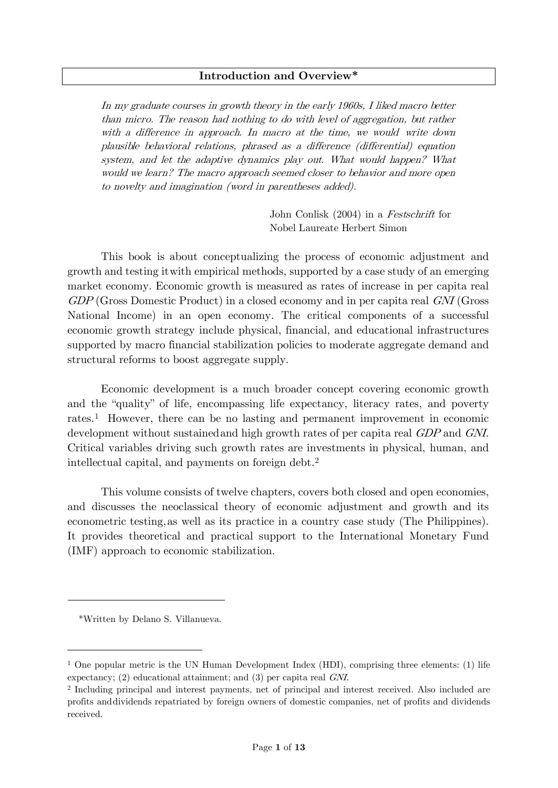#### **Introduction and Overview\***

In my graduate courses in growth theory in the early 1960s, I liked macro better than micro. The reason had nothing to do with level of aggregation, but rather with a difference in approach. In macro at the time, we would write down plausible behavioral relations, phrased as a difference (differential) equation system, and let the adaptive dynamics play out. What would happen? What would we learn? The macro approach seemed closer to behavior and more open to novelty and imagination (word in parentheses added).

> John Conlisk (2004) in a Festschrift for Nobel Laureate Herbert Simon

This book is about conceptualizing the process of economic adjustment and growth and testing itwith empirical methods, supported by a case study of an emerging market economy. Economic growth is measured as rates of increase in per capita real GDP (Gross Domestic Product) in a closed economy and in per capita real GNI (Gross National Income) in an open economy. The critical components of a successful economic growth strategy include physical, financial, and educational infrastructures supported by macro financial stabilization policies to moderate aggregate demand and structural reforms to boost aggregate supply.

Economic development is a much broader concept covering economic growth and the "quality" of life, encompassing life expectancy, literacy rates, and poverty rates.[1](#page-0-0) However, there can be no lasting and permanent improvement in economic development without sustained and high growth rates of per capita real GDP and GNI. Critical variables driving such growth rates are investments in physical, human, and intellectual capital, and payments on foreign debt.[2](#page-0-1)

This volume consists of twelve chapters, covers both closed and open economies, and discusses the neoclassical theory of economic adjustment and growth and its econometric testing,as well as its practice in a country case study (The Philippines). It provides theoretical and practical support to the International Monetary Fund (IMF) approach to economic stabilization.

<sup>\*</sup>Written by Delano S. Villanueva.

<span id="page-0-0"></span><sup>&</sup>lt;sup>1</sup> One popular metric is the UN Human Development Index (HDI), comprising three elements: (1) life expectancy; (2) educational attainment; and (3) per capita real GNI.

<span id="page-0-1"></span><sup>2</sup> Including principal and interest payments, net of principal and interest received. Also included are profits anddividends repatriated by foreign owners of domestic companies, net of profits and dividends received.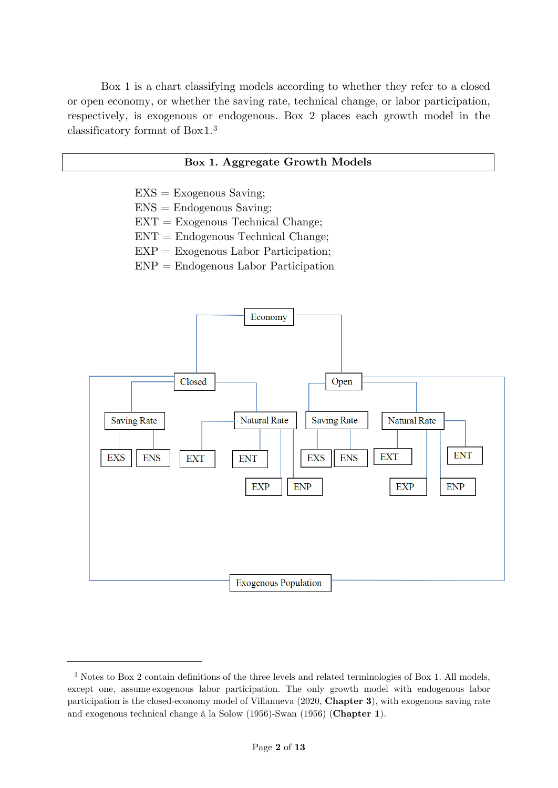Box 1 is a chart classifying models according to whether they refer to a closed or open economy, or whether the saving rate, technical change, or labor participation, respectively, is exogenous or endogenous. Box 2 places each growth model in the classificatory format of Box1.[3](#page-1-0)

## **Box 1. Aggregate Growth Models**

- $EXS = Exogenous$  Saving;
- $ENS =$  Endogenous Saving;
- $EXT = Exogenous Technical Change;$
- $ENT = Endogenous Technical Change;$
- $EXP = Exogenous Labor Partition;$
- $ENP = Endogenous$  Labor Participation



<span id="page-1-0"></span><sup>3</sup> Notes to Box 2 contain definitions of the three levels and related terminologies of Box 1. All models, except one, assume exogenous labor participation. The only growth model with endogenous labor participation is the closed-economy model of Villanueva (2020, **Chapter 3**), with exogenous saving rate and exogenous technical change à la Solow (1956)-Swan (1956) (**Chapter 1**).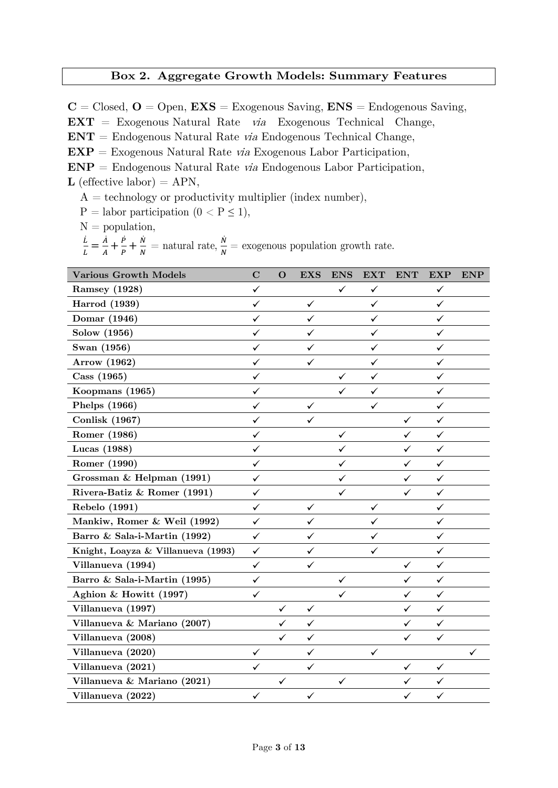## **Box 2. Aggregate Growth Models: Summary Features**

 $C = Closed, O = Open, EXS = Exogenous\ Saving, ENS = Endogenous\ Saving,$ **EXT** = Exogenous Natural Rate via Exogenous Technical Change, **ENT** = Endogenous Natural Rate via Endogenous Technical Change, **EXP** = Exogenous Natural Rate via Exogenous Labor Participation, **ENP** = Endogenous Natural Rate via Endogenous Labor Participation, **L** (effective labor) =  $APN$ ,

 $A = \text{technology or productivity multiplier (index number)}$ ,

 $P =$  labor participation  $(0 < P \le 1)$ ,

 $N =$  population,

 $\frac{L}{L} = \frac{A}{A} + \frac{P}{P} + \frac{N}{N}$  = natural rate,  $\frac{N}{N}$  = exogenous population growth rate.

| <b>Various Growth Models</b>       | $\mathbf C$  | $\mathbf{O}$ | <b>EXS</b>   | <b>ENS</b>   | <b>EXT</b>   | <b>ENT</b>   | <b>EXP</b>   | <b>ENP</b> |
|------------------------------------|--------------|--------------|--------------|--------------|--------------|--------------|--------------|------------|
| Ramsey (1928)                      | ✓            |              |              | $\checkmark$ | ✓            |              | ✓            |            |
| <b>Harrod</b> (1939)               | ✓            |              | $\checkmark$ |              | ✓            |              | ✓            |            |
| Domar (1946)                       | $\checkmark$ |              | ✓            |              | ✓            |              | ✓            |            |
| Solow (1956)                       | ✓            |              | ✓            |              | ✓            |              | ✓            |            |
| Swan (1956)                        | $\checkmark$ |              | ✓            |              | $\checkmark$ |              | $\checkmark$ |            |
| Arrow (1962)                       | ✓            |              | $\checkmark$ |              | ✓            |              | ✓            |            |
| Cass (1965)                        | ✓            |              |              | $\checkmark$ | $\checkmark$ |              | ✓            |            |
| Koopmans (1965)                    | ✓            |              |              | $\checkmark$ | ✓            |              | ✓            |            |
| Phelps (1966)                      | ✓            |              | $\checkmark$ |              | ✓            |              | $\checkmark$ |            |
| <b>Conlisk (1967)</b>              | ✓            |              | $\checkmark$ |              |              | $\checkmark$ | ✓            |            |
| Romer (1986)                       | ✓            |              |              | $\checkmark$ |              | $\checkmark$ | $\checkmark$ |            |
| Lucas (1988)                       | ✓            |              |              | ✓            |              | ✓            | $\checkmark$ |            |
| Romer (1990)                       | ✓            |              |              | $\checkmark$ |              | $\checkmark$ | $\checkmark$ |            |
| Grossman & Helpman (1991)          | ✓            |              |              | $\checkmark$ |              | ✓            | ✓            |            |
| Rivera-Batiz & Romer (1991)        | ✓            |              |              | ✓            |              | ✓            | ✓            |            |
| Rebelo (1991)                      | ✓            |              | $\checkmark$ |              | ✓            |              | $\checkmark$ |            |
| Mankiw, Romer & Weil (1992)        | ✓            |              | $\checkmark$ |              | ✓            |              | ✓            |            |
| Barro & Sala-i-Martin (1992)       | ✓            |              | ✓            |              | ✓            |              | ✓            |            |
| Knight, Loayza & Villanueva (1993) | $\checkmark$ |              | ✓            |              | ✓            |              | ✓            |            |
| Villanueva (1994)                  | $\checkmark$ |              | $\checkmark$ |              |              | ✓            | ✓            |            |
| Barro & Sala-i-Martin (1995)       | $\checkmark$ |              |              | $\checkmark$ |              | $\checkmark$ | $\checkmark$ |            |
| Aghion & Howitt (1997)             | ✓            |              |              | ✓            |              | ✓            | $\checkmark$ |            |
| Villanueva (1997)                  |              | $\checkmark$ | $\checkmark$ |              |              | $\checkmark$ | $\checkmark$ |            |
| Villanueva & Mariano (2007)        |              | ✓            | ✓            |              |              | ✓            | $\checkmark$ |            |
| Villanueva (2008)                  |              | ✓            | ✓            |              |              | ✓            | $\checkmark$ |            |
| Villanueva (2020)                  | ✓            |              | ✓            |              | ✓            |              |              | ✓          |
| Villanueva (2021)                  | ✓            |              | ✓            |              |              | ✓            | ✓            |            |
| Villanueva & Mariano (2021)        |              | ✓            |              | $\checkmark$ |              | ✓            | ✓            |            |
| Villanueva (2022)                  | $\checkmark$ |              | $\checkmark$ |              |              | $\checkmark$ | $\checkmark$ |            |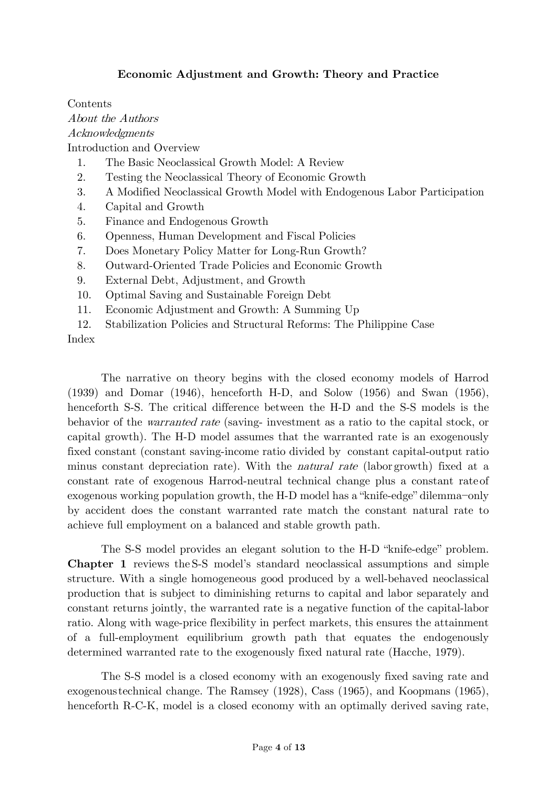# **Economic Adjustment and Growth: Theory and Practice**

Contents About the Authors Acknowledgments Introduction and Overview 1. The Basic Neoclassical Growth Model: A Review 2. Testing the Neoclassical Theory of Economic Growth 3. A Modified Neoclassical Growth Model with Endogenous Labor Participation 4. Capital and Growth 5. Finance and Endogenous Growth 6. Openness, Human Development and Fiscal Policies 7. Does Monetary Policy Matter for Long-Run Growth?

- 8. Outward-Oriented Trade Policies and Economic Growth
- 9. External Debt, Adjustment, and Growth
- 10. Optimal Saving and Sustainable Foreign Debt
- 11. Economic Adjustment and Growth: A Summing Up
- 12. Stabilization Policies and Structural Reforms: The Philippine Case

Index

The narrative on theory begins with the closed economy models of Harrod (1939) and Domar (1946), henceforth H-D, and Solow (1956) and Swan (1956), henceforth S-S. The critical difference between the H-D and the S-S models is the behavior of the warranted rate (saving- investment as a ratio to the capital stock, or capital growth). The H-D model assumes that the warranted rate is an exogenously fixed constant (constant saving-income ratio divided by constant capital-output ratio minus constant depreciation rate). With the natural rate (labor growth) fixed at a constant rate of exogenous Harrod-neutral technical change plus a constant rate of exogenous working population growth, the H-D model has a "knife-edge" dilemma−only by accident does the constant warranted rate match the constant natural rate to achieve full employment on a balanced and stable growth path.

The S-S model provides an elegant solution to the H-D "knife-edge" problem. **Chapter 1** reviews the S-S model's standard neoclassical assumptions and simple structure. With a single homogeneous good produced by a well-behaved neoclassical production that is subject to diminishing returns to capital and labor separately and constant returns jointly, the warranted rate is a negative function of the capital-labor ratio. Along with wage-price flexibility in perfect markets, this ensures the attainment of a full-employment equilibrium growth path that equates the endogenously determined warranted rate to the exogenously fixed natural rate (Hacche, 1979).

The S-S model is a closed economy with an exogenously fixed saving rate and exogenoustechnical change. The Ramsey (1928), Cass (1965), and Koopmans (1965), henceforth R-C-K, model is a closed economy with an optimally derived saving rate,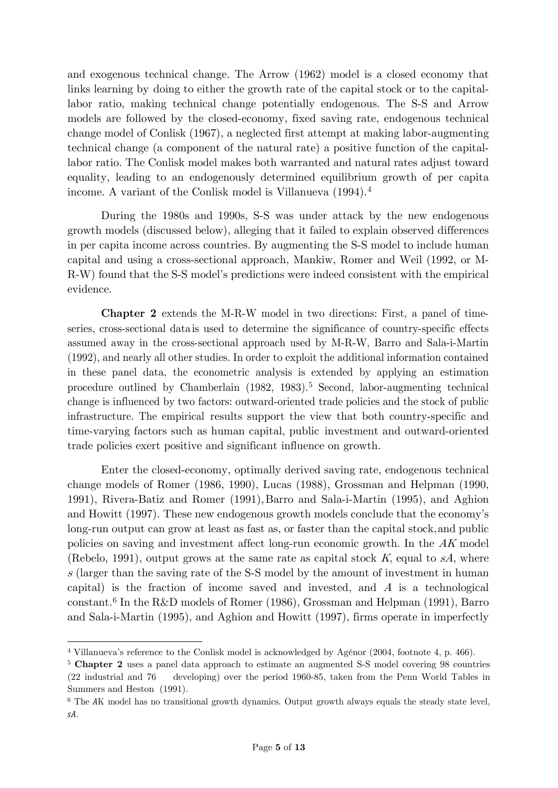and exogenous technical change. The Arrow (1962) model is a closed economy that links learning by doing to either the growth rate of the capital stock or to the capitallabor ratio, making technical change potentially endogenous. The S-S and Arrow models are followed by the closed-economy, fixed saving rate, endogenous technical change model of Conlisk (1967), a neglected first attempt at making labor-augmenting technical change (a component of the natural rate) a positive function of the capitallabor ratio. The Conlisk model makes both warranted and natural rates adjust toward equality, leading to an endogenously determined equilibrium growth of per capita income. A variant of the Conlisk model is Villanueva (1994)[.4](#page-4-1)

During the 1980s and 1990s, S-S was under attack by the new endogenous growth models (discussed below), alleging that it failed to explain observed differences in per capita income across countries. By augmenting the S-S model to include human capital and using a cross-sectional approach, Mankiw, Romer and Weil (1992, or M-R-W) found that the S-S model's predictions were indeed consistent with the empirical evidence.

**Chapter 2** extends the M-R-W model in two directions: First, a panel of timeseries, cross-sectional data is used to determine the significance of country-specific effects assumed away in the cross-sectional approach used by M-R-W, Barro and Sala-i-Martin (1992), and nearly all other studies. In order to exploit the additional information contained in these panel data, the econometric analysis is extended by applying an estimation procedure outlined by Chamberlain (1982, 1983).[5](#page-4-2) [S](#page-4-0)econd, labor-augmenting technical change is influenced by two factors: outward-oriented trade policies and the stock of public infrastructure. The empirical results support the view that both country-specific and time-varying factors such as human capital, public investment and outward-oriented trade policies exert positive and significant influence on growth.

Enter the closed-economy, optimally derived saving rate, endogenous technical change models of Romer (1986, 1990), Lucas (1988), Grossman and Helpman (1990, 1991), Rivera-Batiz and Romer (1991),Barro and Sala-i-Martin (1995), and Aghion and Howitt (1997). These new endogenous growth models conclude that the economy's long-run output can grow at least as fast as, or faster than the capital stock,and public policies on saving and investment affect long-run economic growth. In the AK model (Rebelo, 1991), output grows at the same rate as capital stock  $K$ , equal to  $sA$ , where s (larger than the saving rate of the S-S model by the amount of investment in human capital) is the fraction of income saved and invested, and  $A$  is a technological constant[.6](#page-4-3) In the R&D models of Romer (1986), Grossman and Helpman (1991), Barro and Sala-i-Martin (1995), and Aghion and Howitt (1997), firms operate in imperfectly

<span id="page-4-1"></span><span id="page-4-0"></span><sup>4</sup> Villanueva's reference to the Conlisk model is acknowledged by Agénor (2004, footnote 4, p. 466).

<span id="page-4-2"></span><sup>5</sup> **Chapter 2** uses a panel data approach to estimate an augmented S-S model covering 98 countries (22 industrial and 76 developing) over the period 1960-85, taken from the Penn World Tables in Summers and Heston (1991).

<span id="page-4-3"></span> $6$  The AK model has no transitional growth dynamics. Output growth always equals the steady state level, sA.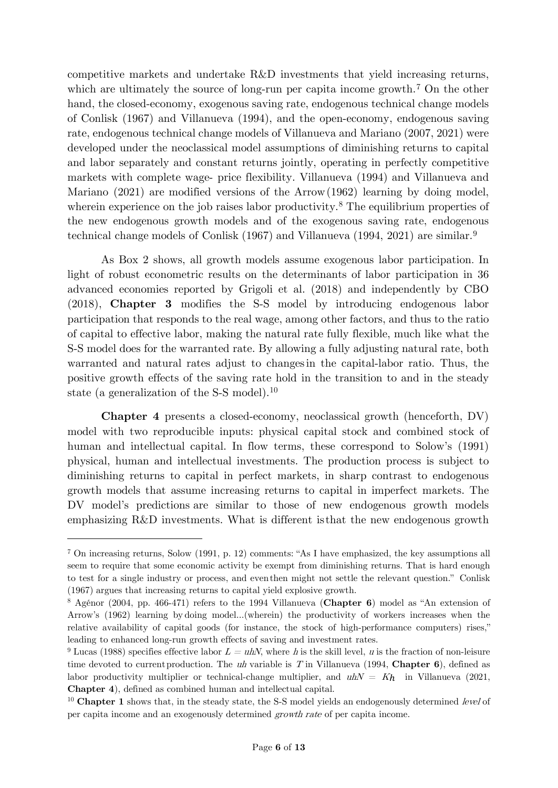competitive markets and undertake R&D investments that yield increasing returns, which are ultimately the source of long-run per capita income growth.<sup>[7](#page-5-0)</sup> On the other hand, the closed-economy, exogenous saving rate, endogenous technical change models of Conlisk (1967) and Villanueva (1994), and the open-economy, endogenous saving rate, endogenous technical change models of Villanueva and Mariano (2007, 2021) were developed under the neoclassical model assumptions of diminishing returns to capital and labor separately and constant returns jointly, operating in perfectly competitive markets with complete wage- price flexibility. Villanueva (1994) and Villanueva and Mariano (2021) are modified versions of the Arrow(1962) learning by doing model, wherein experience on the job raises labor productivity.<sup>[8](#page-5-1)</sup> The equilibrium properties of the new endogenous growth models and of the exogenous saving rate, endogenous technical change models of Conlisk (1[9](#page-5-2)67) and Villanueva (1994, 2021) are similar.<sup>9</sup>

As Box 2 shows, all growth models assume exogenous labor participation. In light of robust econometric results on the determinants of labor participation in 36 advanced economies reported by Grigoli et al. (2018) and independently by CBO (2018), **Chapter 3** modifies the S-S model by introducing endogenous labor participation that responds to the real wage, among other factors, and thus to the ratio of capital to effective labor, making the natural rate fully flexible, much like what the S-S model does for the warranted rate. By allowing a fully adjusting natural rate, both warranted and natural rates adjust to changesin the capital-labor ratio. Thus, the positive growth effects of the saving rate hold in the transition to and in the steady state (a generalization of the S-S model).[10](#page-5-3)

**Chapter 4** presents a closed-economy, neoclassical growth (henceforth, DV) model with two reproducible inputs: physical capital stock and combined stock of human and intellectual capital. In flow terms, these correspond to Solow's (1991) physical, human and intellectual investments. The production process is subject to diminishing returns to capital in perfect markets, in sharp contrast to endogenous growth models that assume increasing returns to capital in imperfect markets. The DV model's predictions are similar to those of new endogenous growth models emphasizing R&D investments. What is different isthat the new endogenous growth

<span id="page-5-0"></span><sup>7</sup> On increasing returns, Solow (1991, p. 12) comments: "As I have emphasized, the key assumptions all seem to require that some economic activity be exempt from diminishing returns. That is hard enough to test for a single industry or process, and eventhen might not settle the relevant question." Conlisk (1967) argues that increasing returns to capital yield explosive growth.

<span id="page-5-1"></span><sup>8</sup> Agénor (2004, pp. 466-471) refers to the 1994 Villanueva (**Chapter 6**) model as "An extension of Arrow's (1962) learning by doing model…(wherein) the productivity of workers increases when the relative availability of capital goods (for instance, the stock of high-performance computers) rises," leading to enhanced long-run growth effects of saving and investment rates.

<span id="page-5-2"></span><sup>&</sup>lt;sup>9</sup> Lucas (1988) specifies effective labor  $L = uhN$ , where h is the skill level, u is the fraction of non-leisure time devoted to currentproduction. The uh variable is T in Villanueva (1994, **Chapter 6**), defined as labor productivity multiplier or technical-change multiplier, and  $uhN = Kh$  in Villanueva (2021, **Chapter 4**), defined as combined human and intellectual capital.

<span id="page-5-3"></span><sup>&</sup>lt;sup>10</sup> **Chapter 1** shows that, in the steady state, the S-S model yields an endogenously determined *level* of per capita income and an exogenously determined growth rate of per capita income.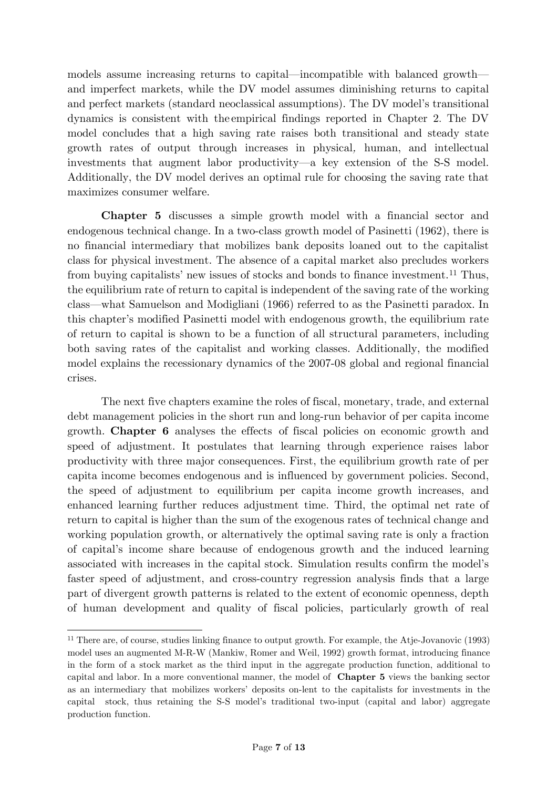models assume increasing returns to capital—incompatible with balanced growth and imperfect markets, while the DV model assumes diminishing returns to capital and perfect markets (standard neoclassical assumptions). The DV model's transitional dynamics is consistent with the empirical findings reported in Chapter 2. The DV model concludes that a high saving rate raises both transitional and steady state growth rates of output through increases in physical, human, and intellectual investments that augment labor productivity—a key extension of the S-S model. Additionally, the DV model derives an optimal rule for choosing the saving rate that maximizes consumer welfare.

**Chapter 5** discusses a simple growth model with a financial sector and endogenous technical change. In a two-class growth model of Pasinetti (1962), there is no financial intermediary that mobilizes bank deposits loaned out to the capitalist class for physical investment. The absence of a capital market also precludes workers from buying capitalists' new issues of stocks and bonds to finance investment.[11](#page-6-0) Thus, the equilibrium rate of return to capital is independent of the saving rate of the working class—what Samuelson and Modigliani (1966) referred to as the Pasinetti paradox. In this chapter's modified Pasinetti model with endogenous growth, the equilibrium rate of return to capital is shown to be a function of all structural parameters, including both saving rates of the capitalist and working classes. Additionally, the modified model explains the recessionary dynamics of the 2007-08 global and regional financial crises.

The next five chapters examine the roles of fiscal, monetary, trade, and external debt management policies in the short run and long-run behavior of per capita income growth. **Chapter 6** analyses the effects of fiscal policies on economic growth and speed of adjustment. It postulates that learning through experience raises labor productivity with three major consequences. First, the equilibrium growth rate of per capita income becomes endogenous and is influenced by government policies. Second, the speed of adjustment to equilibrium per capita income growth increases, and enhanced learning further reduces adjustment time. Third, the optimal net rate of return to capital is higher than the sum of the exogenous rates of technical change and working population growth, or alternatively the optimal saving rate is only a fraction of capital's income share because of endogenous growth and the induced learning associated with increases in the capital stock. Simulation results confirm the model's faster speed of adjustment, and cross-country regression analysis finds that a large part of divergent growth patterns is related to the extent of economic openness, depth of human development and quality of fiscal policies, particularly growth of real

<span id="page-6-0"></span><sup>11</sup> There are, of course, studies linking finance to output growth. For example, the Atje-Jovanovic (1993) model uses an augmented M-R-W (Mankiw, Romer and Weil, 1992) growth format, introducing finance in the form of a stock market as the third input in the aggregate production function, additional to capital and labor. In a more conventional manner, the model of **Chapter 5** views the banking sector as an intermediary that mobilizes workers' deposits on-lent to the capitalists for investments in the capital stock, thus retaining the S-S model's traditional two-input (capital and labor) aggregate production function.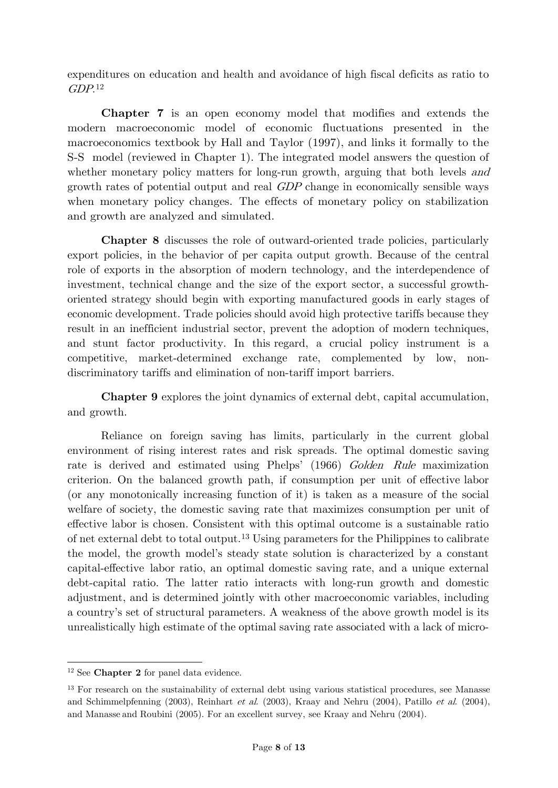expenditures on education and health and avoidance of high fiscal deficits as ratio to  $GDP<sub>12</sub>$  $GDP<sub>12</sub>$  $GDP<sub>12</sub>$ 

**Chapter 7** is an open economy model that modifies and extends the modern macroeconomic model of economic fluctuations presented in the macroeconomics textbook by Hall and Taylor (1997), and links it formally to the S-S model (reviewed in Chapter 1). The integrated model answers the question of whether monetary policy matters for long-run growth, arguing that both levels and growth rates of potential output and real GDP change in economically sensible ways when monetary policy changes. The effects of monetary policy on stabilization and growth are analyzed and simulated.

**Chapter 8** discusses the role of outward-oriented trade policies, particularly export policies, in the behavior of per capita output growth. Because of the central role of exports in the absorption of modern technology, and the interdependence of investment, technical change and the size of the export sector, a successful growthoriented strategy should begin with exporting manufactured goods in early stages of economic development. Trade policies should avoid high protective tariffs because they result in an inefficient industrial sector, prevent the adoption of modern techniques, and stunt factor productivity. In this regard, a crucial policy instrument is a competitive, market-determined exchange rate, complemented by low, nondiscriminatory tariffs and elimination of non-tariff import barriers.

**Chapter 9** explores the joint dynamics of external debt, capital accumulation, and growth.

Reliance on foreign saving has limits, particularly in the current global environment of rising interest rates and risk spreads. The optimal domestic saving rate is derived and estimated using Phelps' (1966) Golden Rule maximization criterion. On the balanced growth path, if consumption per unit of effective labor (or any monotonically increasing function of it) is taken as a measure of the social welfare of society, the domestic saving rate that maximizes consumption per unit of effective labor is chosen. Consistent with this optimal outcome is a sustainable ratio of net external debt to total output.[13](#page-7-1) Using parameters for the Philippines to calibrate the model, the growth model's steady state solution is characterized by a constant capital-effective labor ratio, an optimal domestic saving rate, and a unique external debt-capital ratio. The latter ratio interacts with long-run growth and domestic adjustment, and is determined jointly with other macroeconomic variables, including a country's set of structural parameters. A weakness of the above growth model is its unrealistically high estimate of the optimal saving rate associated with a lack of micro-

<span id="page-7-0"></span><sup>12</sup> See **Chapter 2** for panel data evidence.

<span id="page-7-1"></span><sup>&</sup>lt;sup>13</sup> For research on the sustainability of external debt using various statistical procedures, see Manasse and Schimmelpfenning (2003), Reinhart et al. (2003), Kraay and Nehru (2004), Patillo et al. (2004), and Manasse and Roubini (2005). For an excellent survey, see Kraay and Nehru (2004).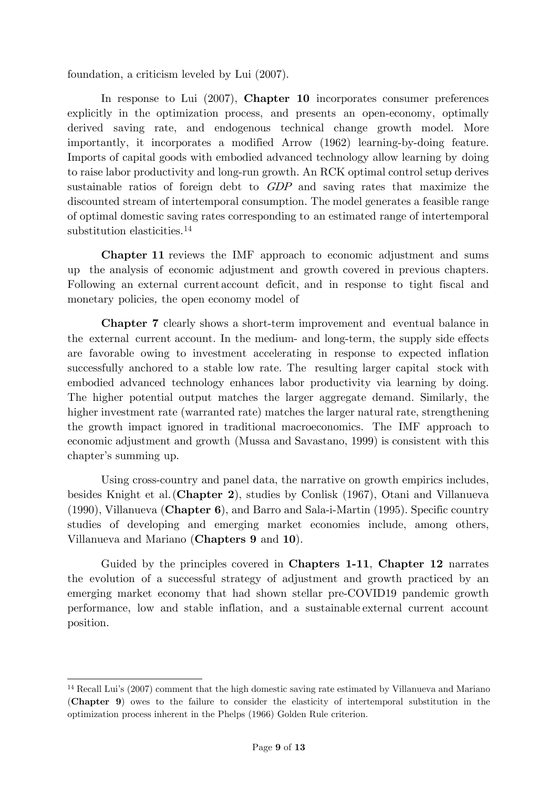foundation, a criticism leveled by Lui (2007).

In response to Lui (2007), **Chapter 10** incorporates consumer preferences explicitly in the optimization process, and presents an open-economy, optimally derived saving rate, and endogenous technical change growth model. More importantly, it incorporates a modified Arrow (1962) learning-by-doing feature. Imports of capital goods with embodied advanced technology allow learning by doing to raise labor productivity and long-run growth. An RCK optimal control setup derives sustainable ratios of foreign debt to GDP and saving rates that maximize the discounted stream of intertemporal consumption. The model generates a feasible range of optimal domestic saving rates corresponding to an estimated range of intertemporal substitution elasticities.<sup>[14](#page-8-1)</sup>

**Chapter 11** reviews the IMF approach to economic adjustment and sums up the analysis of economic adjustment and growth covered in previous chapters. Following an external current account deficit, and in response to tight fiscal and monetary policies, the open economy model of

<span id="page-8-0"></span>**Chapter 7** clearly shows a short-term improvement and eventual balance in the external current account. In the medium- and long-term, the supply side effects are favorable owing to investment accelerating in response to expected inflation successfully anchored to a stable low rate. The resulting larger capital stock with embodied advanced technology enhances labor productivity via learning by doing. The higher potential output matches the larger aggregate demand. Similarly, the higher investment rate (warranted rate) matches the larger natural rate, strengthening the growth impact ignored in traditional macroeconomics. The IMF approach to economic adjustment and growth (Mussa and Savastano, 1999) is consistent with this chapter's summing up.

Using cross-country and panel data, the narrative on growth empirics includes, besides Knight et al.(**Chapter 2**), studies by Conlisk (1967), Otani and Villanueva (1990), Villanueva (**Chapter 6**), and Barro and Sala-i-Martin (1995). Specific country studies of developing and emerging market economies include, among others, Villanueva and Mariano (**Chapters 9** and **10**).

Guided by the principles covered in **Chapters 1-11**, **Chapter 12** narrates the evolution of a successful strategy of adjustment and growth practiced by an emerging market economy that had shown stellar pre-COVID19 pandemic growth performance, low and stable inflation, and a sustainable external current account position.

<span id="page-8-1"></span><sup>14</sup> Recall Lui's (2007) comment that the high domestic saving rate estimated by Villanueva and Mariano (**Chapter 9**) owes to the failure to consider the elasticity of intertemporal substitution in the optimization process inherent in the Phelps (1966) Golden Rule criterion.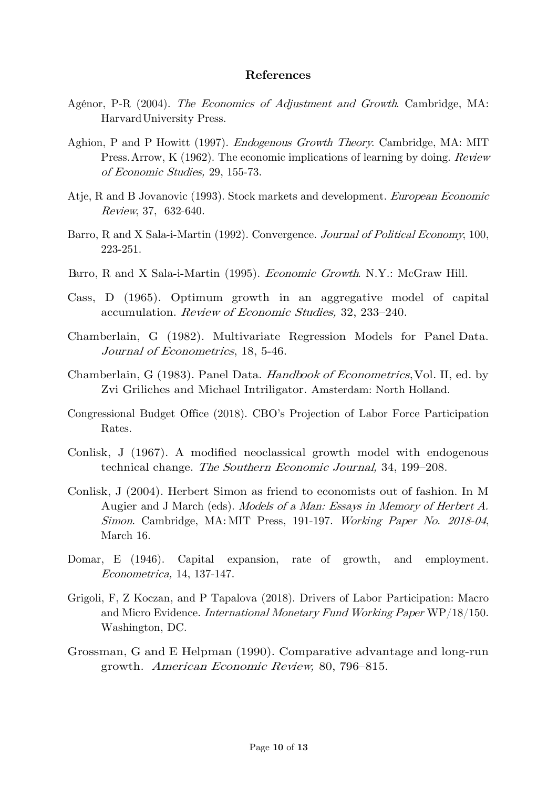#### **References**

- Agénor, P-R (2004). The Economics of Adjustment and Growth. Cambridge, MA: HarvardUniversity Press.
- Aghion, P and P Howitt (1997). Endogenous Growth Theory. Cambridge, MA: MIT Press.Arrow, K (1962). The economic implications of learning by doing. Review of Economic Studies, 29, 155-73.
- Atje, R and B Jovanovic (1993). Stock markets and development. European Economic Review, 37, 632-640.
- Barro, R and X Sala-i-Martin (1992). Convergence. Journal of Political Economy, 100, 223-251.
- Barro, R and X Sala-i-Martin (1995). Economic Growth. N.Y.: McGraw Hill.
- Cass, D (1965). Optimum growth in an aggregative model of capital accumulation. Review of Economic Studies, 32, 233–240.
- Chamberlain, G (1982). Multivariate Regression Models for Panel Data. Journal of Econometrics, 18, 5-46.
- Chamberlain, G (1983). Panel Data. *Handbook of Econometrics*, Vol. II, ed. by Zvi Griliches and Michael Intriligator. Amsterdam: North Holland.
- Congressional Budget Office (2018). CBO's Projection of Labor Force Participation Rates.
- Conlisk, J (1967). A modified neoclassical growth model with endogenous technical change. The Southern Economic Journal, 34, 199–208.
- Conlisk, J (2004). Herbert Simon as friend to economists out of fashion. In M Augier and J March (eds). Models of a Man: Essays in Memory of Herbert A. Simon. Cambridge, MA: MIT Press, 191-197. Working Paper No. 2018-04, March 16.
- Domar, E (1946). Capital expansion, rate of growth, and employment. Econometrica, 14, 137-147.
- Grigoli, F, Z Koczan, and P Tapalova (2018). Drivers of Labor Participation: Macro and Micro Evidence. International Monetary Fund Working Paper WP/18/150. Washington, DC.
- Grossman, G and E Helpman (1990). Comparative advantage and long-run growth. American Economic Review, 80, 796–815.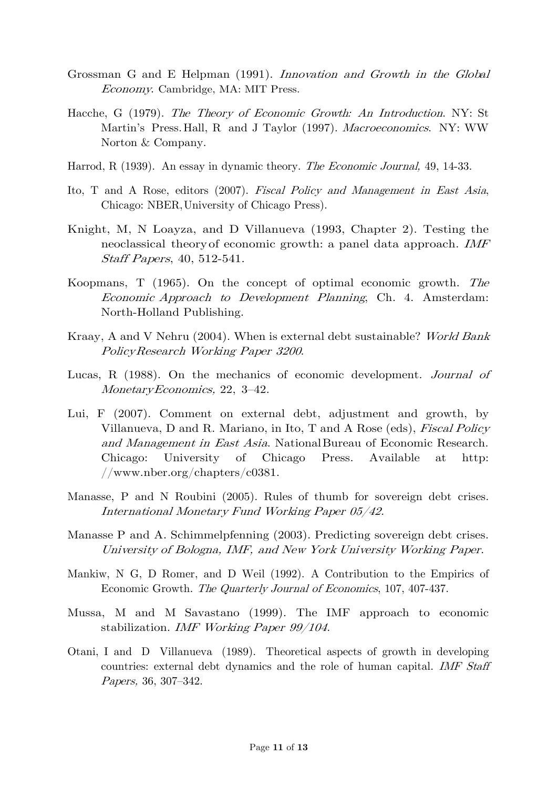- Grossman G and E Helpman (1991). Innovation and Growth in the Global Economy. Cambridge, MA: MIT Press.
- Hacche, G (1979). The Theory of Economic Growth: An Introduction. NY: St Martin's Press.Hall, R and J Taylor (1997). Macroeconomics. NY: WW Norton & Company.
- Harrod, R (1939). An essay in dynamic theory. The Economic Journal, 49, 14-33.
- Ito, T and A Rose, editors (2007). Fiscal Policy and Management in East Asia, Chicago: NBER,University of Chicago Press).
- Knight, M, N Loayza, and D Villanueva (1993, Chapter 2). Testing the neoclassical theoryof economic growth: a panel data approach. IMF Staff Papers, 40, 512-541.
- Koopmans, T (1965). On the concept of optimal economic growth. The Economic Approach to Development Planning, Ch. 4. Amsterdam: North-Holland Publishing.
- Kraay, A and V Nehru (2004). When is external debt sustainable? World Bank PolicyResearch Working Paper <sup>3200</sup>.
- Lucas, R (1988). On the mechanics of economic development. Journal of MonetaryEconomics, 22, 3–42.
- Lui, F (2007). Comment on external debt, adjustment and growth, by Villanueva, D and R. Mariano, in Ito, T and A Rose (eds), Fiscal Policy and Management in East Asia. NationalBureau of Economic Research. Chicago: University of Chicago Press. Available at http: /[/www.nber.org/chapters/c0381.](http://www.nber.org/chapters/c0381)
- Manasse, P and N Roubini (2005). Rules of thumb for sovereign debt crises. International Monetary Fund Working Paper 05/42.
- Manasse P and A. Schimmelpfenning (2003). Predicting sovereign debt crises. University of Bologna, IMF, and New York University Working Paper.
- Mankiw, N G, D Romer, and D Weil (1992). A Contribution to the Empirics of Economic Growth. The Quarterly Journal of Economics, 107, 407-437.
- Mussa, M and M Savastano (1999). The IMF approach to economic stabilization. IMF Working Paper 99/104.
- Otani, I and D Villanueva (1989). Theoretical aspects of growth in developing countries: external debt dynamics and the role of human capital. IMF Staff Papers, 36, 307–342.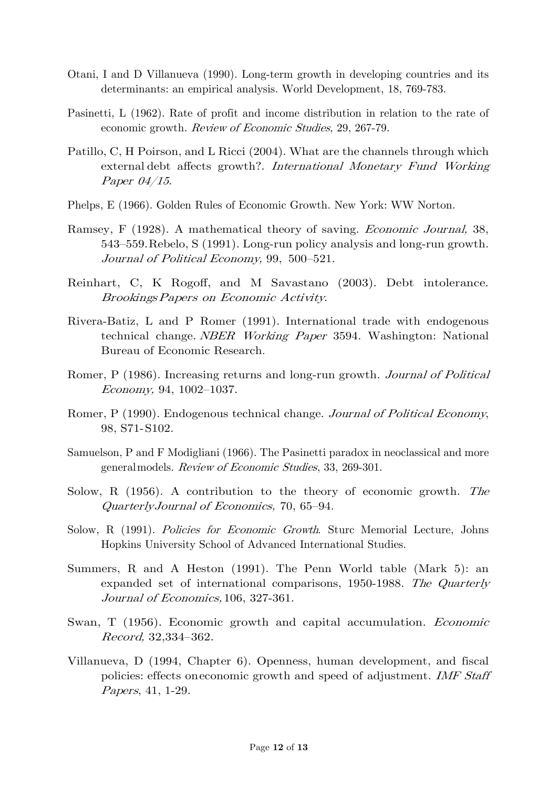- Otani, I and D Villanueva (1990). Long-term growth in developing countries and its determinants: an empirical analysis. World Development, 18, 769-783.
- Pasinetti, L (1962). Rate of profit and income distribution in relation to the rate of economic growth. Review of Economic Studies, 29, 267-79.
- Patillo, C, H Poirson, and L Ricci (2004). What are the channels through which external debt affects growth?. International Monetary Fund Working Paper 04/15.
- Phelps, E (1966). Golden Rules of Economic Growth. New York: WW Norton.
- Ramsey, F (1928). A mathematical theory of saving. Economic Journal, 38, 543–559.Rebelo, S (1991). Long-run policy analysis and long-run growth. Journal of Political Economy, 99, 500–521.
- Reinhart, C, K Rogoff, and M Savastano (2003). Debt intolerance. BrookingsPapers on Economic Activity.
- Rivera-Batiz, L and P Romer (1991). International trade with endogenous technical change. NBER Working Paper 3594. Washington: National Bureau of Economic Research.
- Romer, P (1986). Increasing returns and long-run growth. *Journal of Political* Economy, 94, 1002–1037.
- Romer, P (1990). Endogenous technical change. Journal of Political Economy, 98, S71-S102.
- Samuelson, P and F Modigliani (1966). The Pasinetti paradox in neoclassical and more generalmodels. Review of Economic Studies, 33, 269-301.
- Solow, R (1956). A contribution to the theory of economic growth. The QuarterlyJournal of Economics, 70, 65–94.
- Solow, R (1991). Policies for Economic Growth. Sture Memorial Lecture, Johns Hopkins University School of Advanced International Studies.
- Summers, R and A Heston (1991). The Penn World table (Mark 5): an expanded set of international comparisons, 1950-1988. The Quarterly Journal of Economics, 106, 327-361.
- Swan, T (1956). Economic growth and capital accumulation. Economic Record, 32,334–362.
- Villanueva, D (1994, Chapter 6). Openness, human development, and fiscal policies: effects oneconomic growth and speed of adjustment. IMF Staff Papers, 41, 1-29.